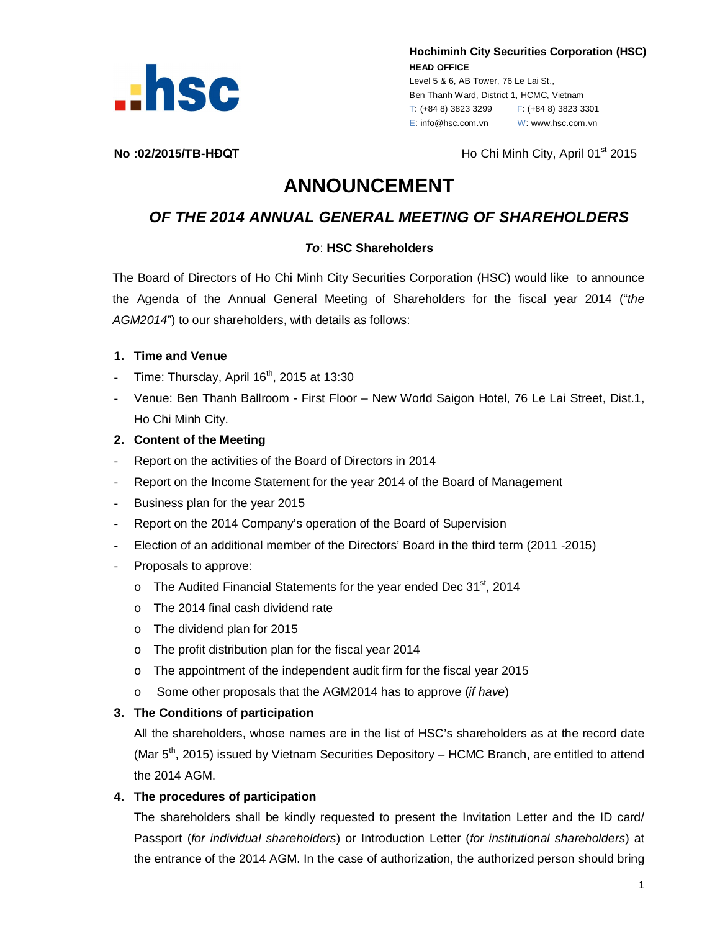

**Hochiminh City Securities Corporation (HSC) HEAD OFFICE** Level 5 & 6, AB Tower, 76 Le Lai St.,

Ben Thanh Ward, District 1, HCMC, Vietnam T: (+84 8) 3823 3299 F: (+84 8) 3823 3301 E: info@hsc.com.vn W: www.hsc.com.vn

**No :02/2015/TB-HĐQT Ho Chi Minh City, April 01<sup>st</sup> 2015** 

# **ANNOUNCEMENT**

# *OF THE 2014 ANNUAL GENERAL MEETING OF SHAREHOLDERS*

# *To*: **HSC Shareholders**

The Board of Directors of Ho Chi Minh City Securities Corporation (HSC) would like to announce the Agenda of the Annual General Meeting of Shareholders for the fiscal year 2014 ("*the AGM2014*") to our shareholders, with details as follows:

#### **1. Time and Venue**

- Time: Thursday, April  $16<sup>th</sup>$ , 2015 at 13:30
- Venue: Ben Thanh Ballroom First Floor New World Saigon Hotel, 76 Le Lai Street, Dist.1, Ho Chi Minh City.

#### **2. Content of the Meeting**

- Report on the activities of the Board of Directors in 2014
- Report on the Income Statement for the year 2014 of the Board of Management
- Business plan for the year 2015
- Report on the 2014 Company's operation of the Board of Supervision
- Election of an additional member of the Directors' Board in the third term (2011 -2015)
- Proposals to approve:
	- $\circ$  The Audited Financial Statements for the year ended Dec 31<sup>st</sup>, 2014
	- o The 2014 final cash dividend rate
	- o The dividend plan for 2015
	- o The profit distribution plan for the fiscal year 2014
	- $\circ$  The appointment of the independent audit firm for the fiscal year 2015
	- o Some other proposals that the AGM2014 has to approve (*if have*)

# **3. The Conditions of participation**

All the shareholders, whose names are in the list of HSC's shareholders as at the record date (Mar 5<sup>th</sup>, 2015) issued by Vietnam Securities Depository – HCMC Branch, are entitled to attend the 2014 AGM.

#### **4. The procedures of participation**

The shareholders shall be kindly requested to present the Invitation Letter and the ID card/ Passport (*for individual shareholders*) or Introduction Letter (*for institutional shareholders*) at the entrance of the 2014 AGM. In the case of authorization, the authorized person should bring